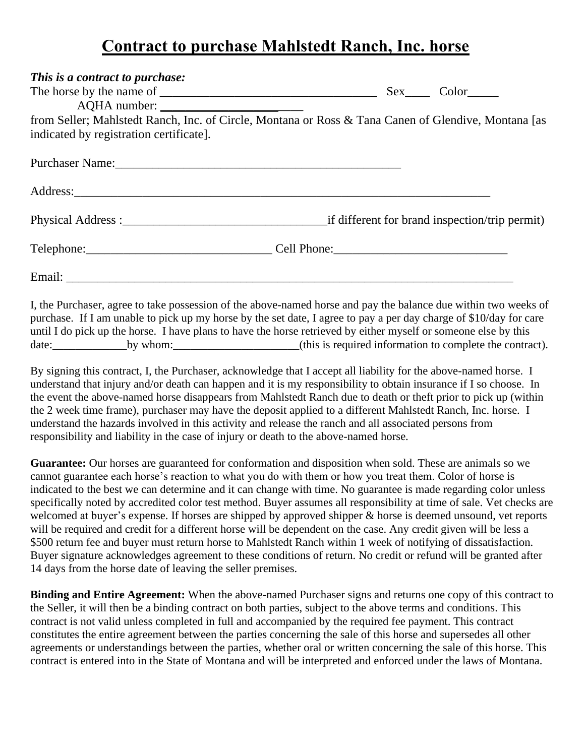## **Contract to purchase Mahlstedt Ranch, Inc. horse**

| This is a contract to purchase:                                                                                                                                                                                                                                                                                                                          |  |  |
|----------------------------------------------------------------------------------------------------------------------------------------------------------------------------------------------------------------------------------------------------------------------------------------------------------------------------------------------------------|--|--|
|                                                                                                                                                                                                                                                                                                                                                          |  |  |
|                                                                                                                                                                                                                                                                                                                                                          |  |  |
| from Seller; Mahlstedt Ranch, Inc. of Circle, Montana or Ross & Tana Canen of Glendive, Montana [as                                                                                                                                                                                                                                                      |  |  |
| indicated by registration certificate].                                                                                                                                                                                                                                                                                                                  |  |  |
|                                                                                                                                                                                                                                                                                                                                                          |  |  |
|                                                                                                                                                                                                                                                                                                                                                          |  |  |
|                                                                                                                                                                                                                                                                                                                                                          |  |  |
|                                                                                                                                                                                                                                                                                                                                                          |  |  |
| Email: <u>Alexander Alexander and Alexander and Alexander and Alexander and Alexander and Alexander and Alexander</u>                                                                                                                                                                                                                                    |  |  |
| I, the Purchaser, agree to take possession of the above-named horse and pay the balance due within two weeks of<br>purchase. If I am unable to pick up my horse by the set date, I agree to pay a per day charge of \$10/day for care<br>until I do pick up the horse. I have plans to have the horse retrieved by either myself or someone else by this |  |  |

By signing this contract, I, the Purchaser, acknowledge that I accept all liability for the above-named horse. I understand that injury and/or death can happen and it is my responsibility to obtain insurance if I so choose. In the event the above-named horse disappears from Mahlstedt Ranch due to death or theft prior to pick up (within the 2 week time frame), purchaser may have the deposit applied to a different Mahlstedt Ranch, Inc. horse. I understand the hazards involved in this activity and release the ranch and all associated persons from responsibility and liability in the case of injury or death to the above-named horse.

Guarantee: Our horses are guaranteed for conformation and disposition when sold. These are animals so we cannot guarantee each horse's reaction to what you do with them or how you treat them. Color of horse is indicated to the best we can determine and it can change with time. No guarantee is made regarding color unless specifically noted by accredited color test method. Buyer assumes all responsibility at time of sale. Vet checks are welcomed at buyer's expense. If horses are shipped by approved shipper & horse is deemed unsound, vet reports will be required and credit for a different horse will be dependent on the case. Any credit given will be less a \$500 return fee and buyer must return horse to Mahlstedt Ranch within 1 week of notifying of dissatisfaction. Buyer signature acknowledges agreement to these conditions of return. No credit or refund will be granted after 14 days from the horse date of leaving the seller premises.

**Binding and Entire Agreement:** When the above-named Purchaser signs and returns one copy of this contract to the Seller, it will then be a binding contract on both parties, subject to the above terms and conditions. This contract is not valid unless completed in full and accompanied by the required fee payment. This contract constitutes the entire agreement between the parties concerning the sale of this horse and supersedes all other agreements or understandings between the parties, whether oral or written concerning the sale of this horse. This contract is entered into in the State of Montana and will be interpreted and enforced under the laws of Montana.